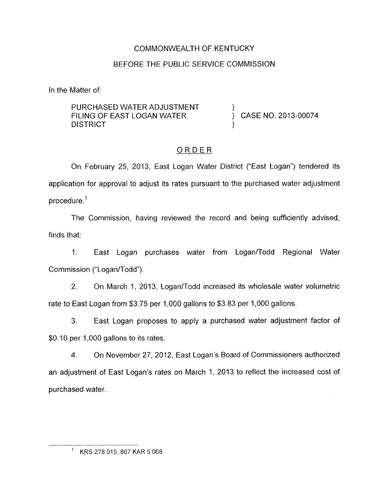## COMMONWEALTH OF KENTUCKY

## BEFORE THE PUBLIC SERVICE COMMISSION

In the Matter of:

PURCHASED WATER ADJUSTMENT FILING OF EAST LOGAN WATER  $\overrightarrow{)}$  CASE NO. 2013-00074 **DISTRICT** 

# ORDER

On February 25, 2013, East Logan Water District ("East Logan") tendered its application for approval to adjust its rates pursuant to the purchased water adjustment procedure. '

The Commission, having reviewed the record and being sufficiently advised, finds that:

1. East Logan purchases water from Logan/Todd Regional Water Commission ("Logan/Todd").

2. On March 1, 2013, Logan/Todd increased its wholesale water volumetric rate to East Logan from \$3.75 per 1,000 gallons to \$3.83 per 1,000 gallons.

3. East Logan proposes to apply a purchased water adjustment factor of \$0.10 per 1,000 gallons to its rates.

4. On November 27, 2012, East Logan's Board of Commissioners authorized an adjustment of East Logan's rates on March 1, 2013 to reflect the increased cost of purchased water.

' KRS 278.015; 807 KAR 5.068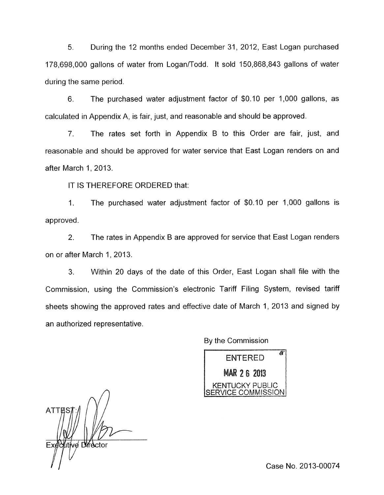*5.* During the 12 months ended December 31, 2012, East Logan purchased 178,698,000 gallons of water from Logan/Todd. It sold 150,868,843 gallons of water during the same period.

6. The purchased water adjustment factor of \$0.10 per 1,000 gallons, as calculated in Appendix A, is fair, just, and reasonable and should be approved.

7. The rates set forth in Appendix B to this Order are fair, just, and reasonable and should be approved for water service that East Logan renders on and after March 1, 2013.

IT IS THEREFORE ORDERED that:

1. The purchased water adjustment factor of \$0.10 per 1,000 gallons is approved.

2. The rates in Appendix B are approved for service that East Logan renders on or after March 1, 2013.

3. Within 20 days of the date of this Order, East Logan shall file with the Commission, using the Commission's electronic Tariff Filing System, revised tariff sheets showing the approved rates and effective date of March 1, 2013 and signed by an authorized representative.

By the Commission

 $\pi$ **ENTERED** MAR 2 6 2013 KENTUCKY PUBLIC ERVICE COMMISSION

 $\Delta$ **ATTES** /ve Dirfector

Case No. 2013-00074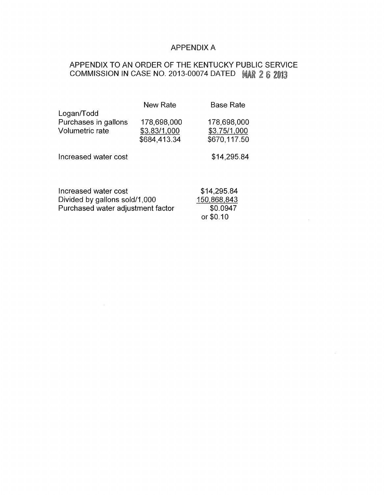## APPENDIX A

# APPENDIX TO AN ORDER OF THE KENTUCKY PUBLIC SERVICE COMMISSION IN CASE NO. 2013-00074 DATED MAR 2 6 2013

|                                                       | New Rate                                    | <b>Base Rate</b>                            |  |
|-------------------------------------------------------|---------------------------------------------|---------------------------------------------|--|
| Logan/Todd<br>Purchases in gallons<br>Volumetric rate | 178,698,000<br>\$3.83/1,000<br>\$684,413.34 | 178,698,000<br>\$3.75/1,000<br>\$670,117.50 |  |
| Increased water cost                                  |                                             | \$14,295.84                                 |  |
|                                                       |                                             |                                             |  |
| Increased water cost                                  | \$14,295.84                                 |                                             |  |
| Divided by gallons sold/1,000                         | 150,868,843                                 |                                             |  |
| Purchased water adjustment factor                     | \$0.0947                                    |                                             |  |
|                                                       |                                             | or \$0.10                                   |  |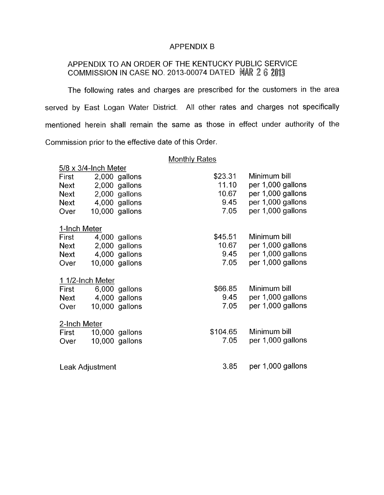#### APPENDIX B

# APPENDIX TO AN ORDER OF THE KENTUCKY PUBLIC SERVICE COMMISSION IN CASE NO. 2013-00074 DATED 2

The following rates and charges are prescribed for the customers in the area served by East Logan Water District. All other rates and charges not specifically mentioned herein shall remain the same as those in effect under authority of the Commission prior to the effective date of this Order.

## Monthly Rates

| $5/8 \times 3/4$ -Inch Meter |                 |                  |          |                   |  |
|------------------------------|-----------------|------------------|----------|-------------------|--|
| First                        |                 | 2,000 gallons    | \$23.31  | Minimum bill      |  |
| <b>Next</b>                  |                 | 2,000 gallons    | 11.10    | per 1,000 gallons |  |
| <b>Next</b>                  |                 | 2,000 gallons    | 10.67    | per 1,000 gallons |  |
| <b>Next</b>                  |                 | 4,000 gallons    | 9.45     | per 1,000 gallons |  |
| Over                         |                 | 10,000 gallons   | 7.05     | per 1,000 gallons |  |
| 1-Inch Meter                 |                 |                  |          |                   |  |
| First                        |                 | 4,000 gallons    | \$45.51  | Minimum bill      |  |
| Next                         |                 | 2,000 gallons    | 10.67    | per 1,000 gallons |  |
| Next                         |                 | 4,000 gallons    | 9.45     | per 1,000 gallons |  |
| Over                         |                 | 10,000 gallons   | 7.05     | per 1,000 gallons |  |
| 1 1/2-Inch Meter             |                 |                  |          |                   |  |
| First                        |                 | 6,000 gallons    | \$66.85  | Minimum bill      |  |
| Next                         |                 | 4,000 gallons    | 9.45     | per 1,000 gallons |  |
| Over                         |                 | $10,000$ gallons | 7.05     | per 1,000 gallons |  |
| 2-Inch Meter                 |                 |                  |          |                   |  |
| First                        |                 | $10,000$ gallons | \$104.65 | Minimum bill      |  |
| Over                         |                 | 10,000 gallons   | 7.05     | per 1,000 gallons |  |
|                              |                 |                  |          |                   |  |
|                              | Leak Adjustment |                  | 3.85     | per 1,000 gallons |  |